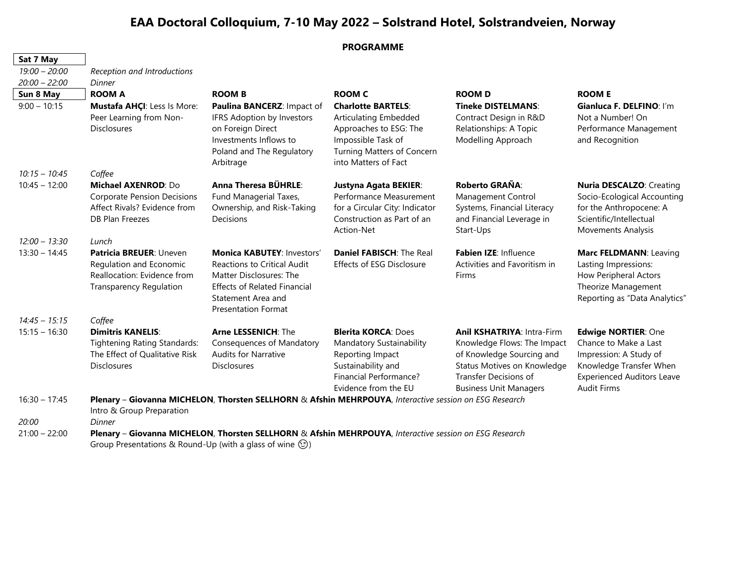## **EAA Doctoral Colloquium, 7-10 May 2022 – Solstrand Hotel, Solstrandveien, Norway**

|                 |                                                                                                                                     | <b>PROGRAMME</b>                                                                                                                                                                       |                                                                                                                                                          |                                                                                                                                                                                        |                                                                                                                                                              |  |  |
|-----------------|-------------------------------------------------------------------------------------------------------------------------------------|----------------------------------------------------------------------------------------------------------------------------------------------------------------------------------------|----------------------------------------------------------------------------------------------------------------------------------------------------------|----------------------------------------------------------------------------------------------------------------------------------------------------------------------------------------|--------------------------------------------------------------------------------------------------------------------------------------------------------------|--|--|
| Sat 7 May       |                                                                                                                                     |                                                                                                                                                                                        |                                                                                                                                                          |                                                                                                                                                                                        |                                                                                                                                                              |  |  |
| $19:00 - 20:00$ | Reception and Introductions                                                                                                         |                                                                                                                                                                                        |                                                                                                                                                          |                                                                                                                                                                                        |                                                                                                                                                              |  |  |
| $20:00 - 22:00$ | Dinner                                                                                                                              |                                                                                                                                                                                        |                                                                                                                                                          |                                                                                                                                                                                        |                                                                                                                                                              |  |  |
| Sun 8 May       | <b>ROOM A</b>                                                                                                                       | <b>ROOM B</b>                                                                                                                                                                          | <b>ROOM C</b>                                                                                                                                            | <b>ROOM D</b>                                                                                                                                                                          | <b>ROOM E</b>                                                                                                                                                |  |  |
| $9:00 - 10:15$  | Mustafa AHÇI: Less Is More:<br>Peer Learning from Non-<br>Disclosures                                                               | Paulina BANCERZ: Impact of<br>IFRS Adoption by Investors<br>on Foreign Direct<br>Investments Inflows to<br>Poland and The Regulatory<br>Arbitrage                                      | <b>Charlotte BARTELS:</b><br>Articulating Embedded<br>Approaches to ESG: The<br>Impossible Task of<br>Turning Matters of Concern<br>into Matters of Fact | <b>Tineke DISTELMANS:</b><br>Contract Design in R&D<br>Relationships: A Topic<br>Modelling Approach                                                                                    | Gianluca F. DELFINO: I'm<br>Not a Number! On<br>Performance Management<br>and Recognition                                                                    |  |  |
| $10:15 - 10:45$ | Coffee                                                                                                                              |                                                                                                                                                                                        |                                                                                                                                                          |                                                                                                                                                                                        |                                                                                                                                                              |  |  |
| $10:45 - 12:00$ | Michael AXENROD: Do<br><b>Corporate Pension Decisions</b><br>Affect Rivals? Evidence from<br>DB Plan Freezes                        | Anna Theresa BÜHRLE:<br>Fund Managerial Taxes,<br>Ownership, and Risk-Taking<br><b>Decisions</b>                                                                                       | Justyna Agata BEKIER:<br>Performance Measurement<br>for a Circular City: Indicator<br>Construction as Part of an<br>Action-Net                           | Roberto GRAÑA:<br>Management Control<br>Systems, Financial Literacy<br>and Financial Leverage in<br>Start-Ups                                                                          | Nuria DESCALZO: Creating<br>Socio-Ecological Accounting<br>for the Anthropocene: A<br>Scientific/Intellectual<br>Movements Analysis                          |  |  |
| $12:00 - 13:30$ | Lunch                                                                                                                               |                                                                                                                                                                                        |                                                                                                                                                          |                                                                                                                                                                                        |                                                                                                                                                              |  |  |
| $13:30 - 14:45$ | Patricia BREUER: Uneven<br>Regulation and Economic<br>Reallocation: Evidence from<br><b>Transparency Regulation</b>                 | <b>Monica KABUTEY: Investors'</b><br>Reactions to Critical Audit<br>Matter Disclosures: The<br><b>Effects of Related Financial</b><br>Statement Area and<br><b>Presentation Format</b> | Daniel FABISCH: The Real<br>Effects of ESG Disclosure                                                                                                    | Fabien IZE: Influence<br>Activities and Favoritism in<br>Firms                                                                                                                         | Marc FELDMANN: Leaving<br>Lasting Impressions:<br>How Peripheral Actors<br>Theorize Management<br>Reporting as "Data Analytics"                              |  |  |
| $14:45 - 15:15$ | Coffee                                                                                                                              |                                                                                                                                                                                        |                                                                                                                                                          |                                                                                                                                                                                        |                                                                                                                                                              |  |  |
| $15:15 - 16:30$ | <b>Dimitris KANELIS:</b><br><b>Tightening Rating Standards:</b><br>The Effect of Qualitative Risk<br><b>Disclosures</b>             | <b>Arne LESSENICH: The</b><br>Consequences of Mandatory<br><b>Audits for Narrative</b><br><b>Disclosures</b>                                                                           | <b>Blerita KORCA: Does</b><br>Mandatory Sustainability<br>Reporting Impact<br>Sustainability and<br>Financial Performance?<br>Evidence from the EU       | <b>Anil KSHATRIYA: Intra-Firm</b><br>Knowledge Flows: The Impact<br>of Knowledge Sourcing and<br>Status Motives on Knowledge<br>Transfer Decisions of<br><b>Business Unit Managers</b> | Edwige NORTIER: One<br>Chance to Make a Last<br>Impression: A Study of<br>Knowledge Transfer When<br><b>Experienced Auditors Leave</b><br><b>Audit Firms</b> |  |  |
| $16:30 - 17:45$ | Plenary - Giovanna MICHELON, Thorsten SELLHORN & Afshin MEHRPOUYA, Interactive session on ESG Research<br>Intro & Group Preparation |                                                                                                                                                                                        |                                                                                                                                                          |                                                                                                                                                                                        |                                                                                                                                                              |  |  |
| 20:00           | Dinner                                                                                                                              |                                                                                                                                                                                        |                                                                                                                                                          |                                                                                                                                                                                        |                                                                                                                                                              |  |  |

21:00 – 22:00 **Plenary** – **Giovanna MICHELON**, **Thorsten SELLHORN** & **Afshin MEHRPOUYA**, *Interactive session on ESG Research*  Group Presentations & Round-Up (with a glass of wine  $\circled$ )